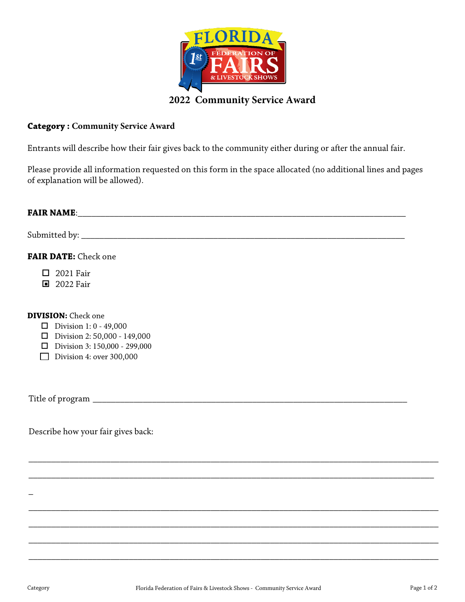

## **Category : Community Service Award**

Entrants will describe how their fair gives back to the community either during or after the annual fair.

Please provide all information requested on this form in the space allocated (no additional lines and pages of explanation will be allowed).

| FAIR DATE: Check one                                                                                                                                                     |
|--------------------------------------------------------------------------------------------------------------------------------------------------------------------------|
| $\Box$ 2021 Fair<br>■ 2022 Fair                                                                                                                                          |
| <b>DIVISION:</b> Check one<br><b>D</b> Division 1: 0 - 49,000<br>$\Box$ Division 2: 50,000 - 149,000<br>$\Box$ Division 3: 150,000 - 299,000<br>Division 4: over 300,000 |
|                                                                                                                                                                          |
| Describe how your fair gives back:                                                                                                                                       |
|                                                                                                                                                                          |
|                                                                                                                                                                          |
|                                                                                                                                                                          |

\_\_\_\_\_\_\_\_\_\_\_\_\_\_\_\_\_\_\_\_\_\_\_\_\_\_\_\_\_\_\_\_\_\_\_\_\_\_\_\_\_\_\_\_\_\_\_\_\_\_\_\_\_\_\_\_\_\_\_\_\_\_\_\_\_\_\_\_\_\_\_\_\_\_\_\_\_\_\_\_\_\_\_\_\_\_\_\_\_\_

\_\_\_\_\_\_\_\_\_\_\_\_\_\_\_\_\_\_\_\_\_\_\_\_\_\_\_\_\_\_\_\_\_\_\_\_\_\_\_\_\_\_\_\_\_\_\_\_\_\_\_\_\_\_\_\_\_\_\_\_\_\_\_\_\_\_\_\_\_\_\_\_\_\_\_\_\_\_\_\_\_\_\_\_\_\_\_\_\_\_